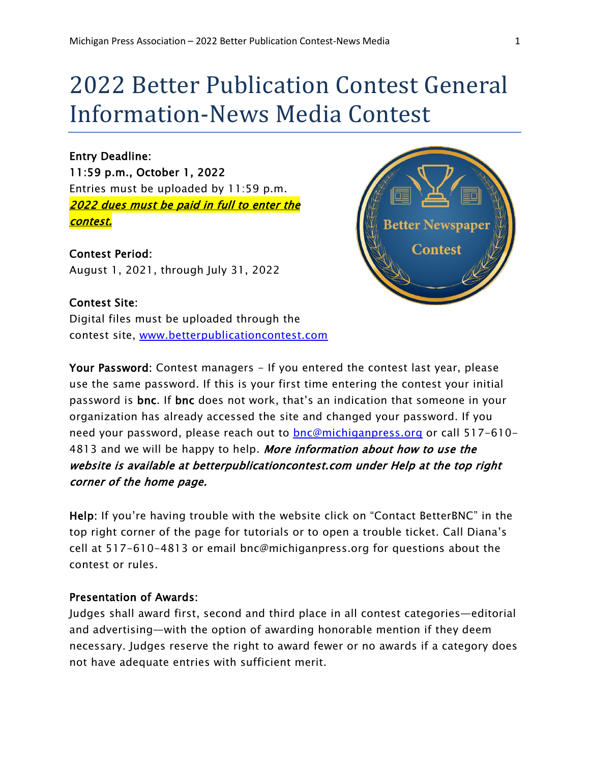# 2022 Better Publication Contest General Information-News Media Contest

Entry Deadline: 11:59 p.m., October 1, 2022 Entries must be uploaded by 11:59 p.m. 2022 dues must be paid in full to enter the contest.

Contest Period:

August 1, 2021, through July 31, 2022



Digital files must be uploaded through the contest site, [www.betterpublicationcontest.com](http://www.betternewspapercontest.com/) 

Your Password: Contest managers - If you entered the contest last year, please use the same password. If this is your first time entering the contest your initial password is bnc. If bnc does not work, that's an indication that someone in your organization has already accessed the site and changed your password. If you need your password, please reach out to **bnc@michiganpress.org** or call 517-610-4813 and we will be happy to help. More information about how to use the website is available at betterpublicationcontest.com under Help at the top right corner of the home page.

Help: If you're having trouble with the website click on "Contact BetterBNC" in the top right corner of the page for tutorials or to open a trouble ticket. Call Diana's cell at 517-610-4813 or email bnc@michiganpress.org for questions about the contest or rules.

## Presentation of Awards:

Judges shall award first, second and third place in all contest categories—editorial and advertising—with the option of awarding honorable mention if they deem necessary. Judges reserve the right to award fewer or no awards if a category does not have adequate entries with sufficient merit.

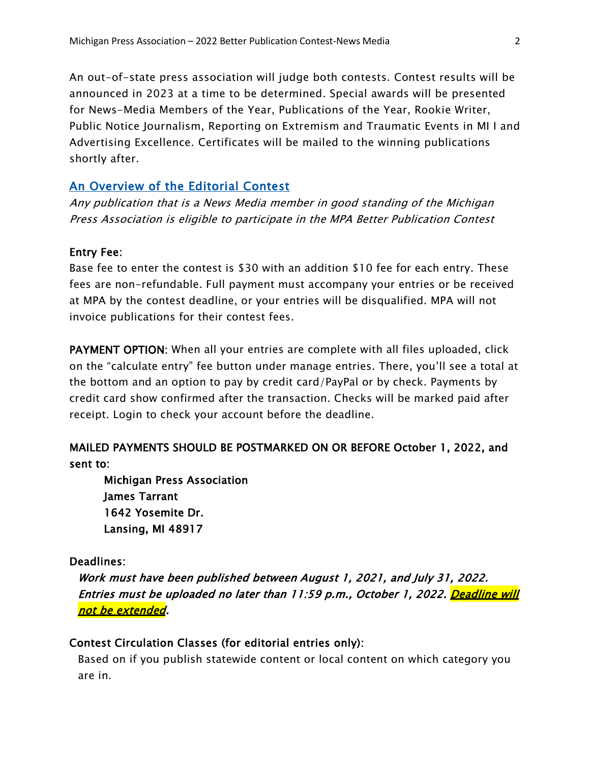An out-of-state press association will judge both contests. Contest results will be announced in 2023 at a time to be determined. Special awards will be presented for News-Media Members of the Year, Publications of the Year, Rookie Writer, Public Notice Journalism, Reporting on Extremism and Traumatic Events in MI I and Advertising Excellence. Certificates will be mailed to the winning publications shortly after.

# An Overview of the Editorial Contest

Any publication that is a News Media member in good standing of the Michigan Press Association is eligible to participate in the MPA Better Publication Contest

## Entry Fee:

Base fee to enter the contest is \$30 with an addition \$10 fee for each entry. These fees are non-refundable. Full payment must accompany your entries or be received at MPA by the contest deadline, or your entries will be disqualified. MPA will not invoice publications for their contest fees.

PAYMENT OPTION: When all your entries are complete with all files uploaded, click on the "calculate entry" fee button under manage entries. There, you'll see a total at the bottom and an option to pay by credit card/PayPal or by check. Payments by credit card show confirmed after the transaction. Checks will be marked paid after receipt. Login to check your account before the deadline.

# MAILED PAYMENTS SHOULD BE POSTMARKED ON OR BEFORE October 1, 2022, and sent to:

Michigan Press Association James Tarrant 1642 Yosemite Dr. Lansing, MI 48917

## Deadlines:

Work must have been published between August 1, 2021, and July 31, 2022. Entries must be uploaded no later than 11:59 p.m., October 1, 2022. <mark>Deadline will</mark> not be extended.

## Contest Circulation Classes (for editorial entries only):

Based on if you publish statewide content or local content on which category you are in.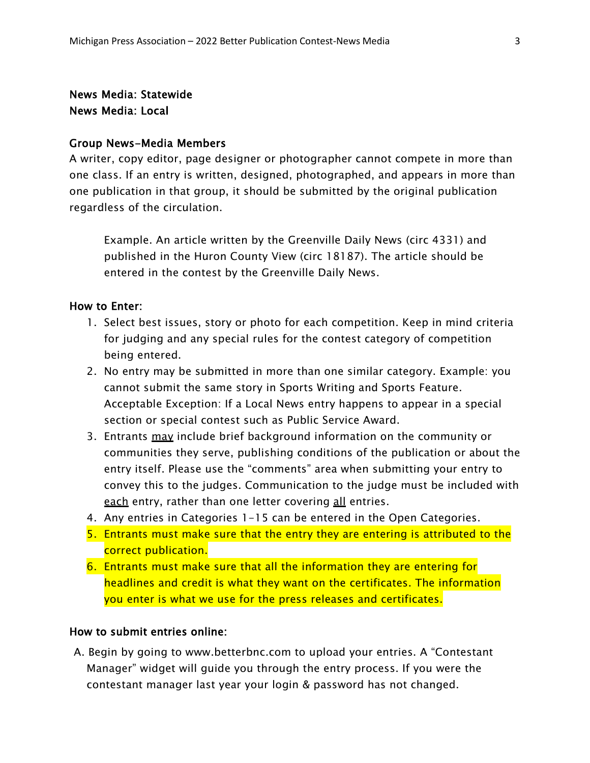## News Media: Statewide News Media: Local

#### Group News-Media Members

A writer, copy editor, page designer or photographer cannot compete in more than one class. If an entry is written, designed, photographed, and appears in more than one publication in that group, it should be submitted by the original publication regardless of the circulation.

Example. An article written by the Greenville Daily News (circ 4331) and published in the Huron County View (circ 18187). The article should be entered in the contest by the Greenville Daily News.

#### How to Enter:

- 1. Select best issues, story or photo for each competition. Keep in mind criteria for judging and any special rules for the contest category of competition being entered.
- 2. No entry may be submitted in more than one similar category. Example: you cannot submit the same story in Sports Writing and Sports Feature. Acceptable Exception: If a Local News entry happens to appear in a special section or special contest such as Public Service Award.
- 3. Entrants may include brief background information on the community or communities they serve, publishing conditions of the publication or about the entry itself. Please use the "comments" area when submitting your entry to convey this to the judges. Communication to the judge must be included with each entry, rather than one letter covering all entries.
- 4. Any entries in Categories 1-15 can be entered in the Open Categories.
- 5. Entrants must make sure that the entry they are entering is attributed to the correct publication.
- 6. Entrants must make sure that all the information they are entering for headlines and credit is what they want on the certificates. The information you enter is what we use for the press releases and certificates.

#### How to submit entries online:

A. Begin by going to www.betterbnc.com to upload your entries. A "Contestant Manager" widget will guide you through the entry process. If you were the contestant manager last year your login & password has not changed.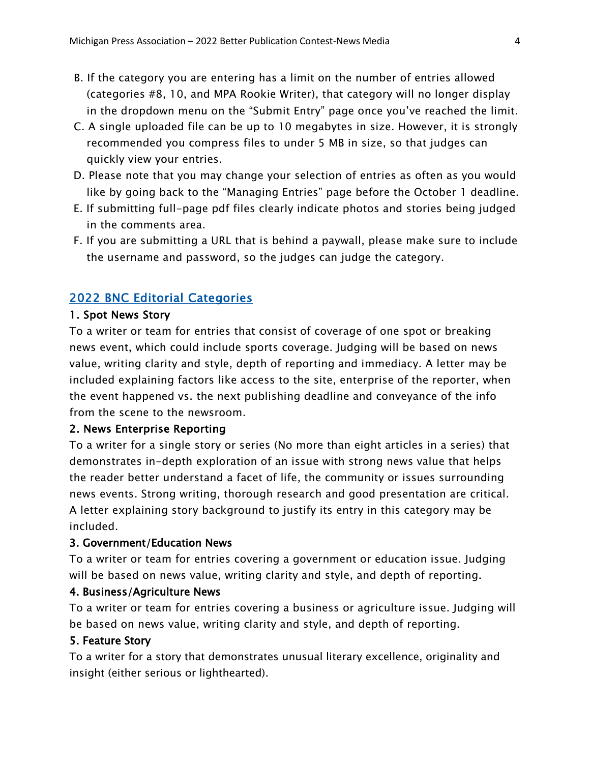- B. If the category you are entering has a limit on the number of entries allowed (categories #8, 10, and MPA Rookie Writer), that category will no longer display in the dropdown menu on the "Submit Entry" page once you've reached the limit.
- C. A single uploaded file can be up to 10 megabytes in size. However, it is strongly recommended you compress files to under 5 MB in size, so that judges can quickly view your entries.
- D. Please note that you may change your selection of entries as often as you would like by going back to the "Managing Entries" page before the October 1 deadline.
- E. If submitting full-page pdf files clearly indicate photos and stories being judged in the comments area.
- F. If you are submitting a URL that is behind a paywall, please make sure to include the username and password, so the judges can judge the category.

# 2022 BNC Editorial Categories

### 1. Spot News Story

To a writer or team for entries that consist of coverage of one spot or breaking news event, which could include sports coverage. Judging will be based on news value, writing clarity and style, depth of reporting and immediacy. A letter may be included explaining factors like access to the site, enterprise of the reporter, when the event happened vs. the next publishing deadline and conveyance of the info from the scene to the newsroom.

## 2. News Enterprise Reporting

To a writer for a single story or series (No more than eight articles in a series) that demonstrates in-depth exploration of an issue with strong news value that helps the reader better understand a facet of life, the community or issues surrounding news events. Strong writing, thorough research and good presentation are critical. A letter explaining story background to justify its entry in this category may be included.

#### 3. Government/Education News

To a writer or team for entries covering a government or education issue. Judging will be based on news value, writing clarity and style, and depth of reporting.

## 4. Business/Agriculture News

To a writer or team for entries covering a business or agriculture issue. Judging will be based on news value, writing clarity and style, and depth of reporting.

## 5. Feature Story

To a writer for a story that demonstrates unusual literary excellence, originality and insight (either serious or lighthearted).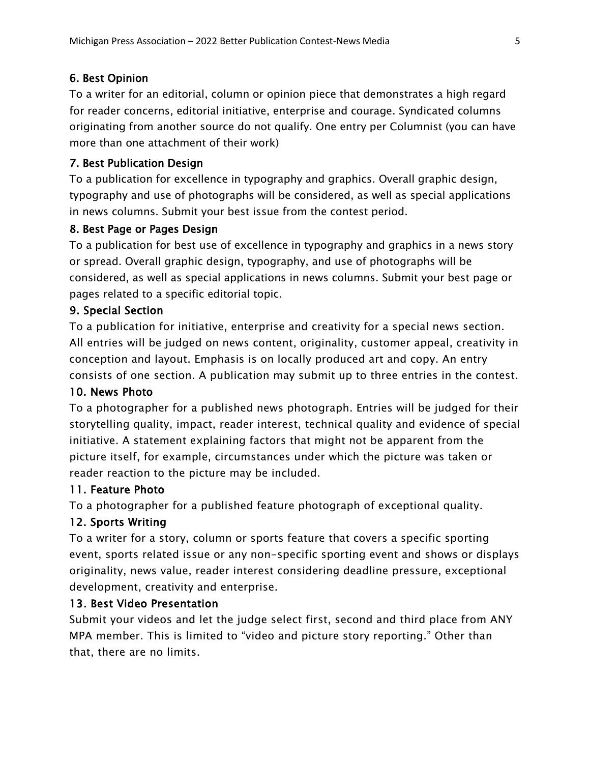## 6. Best Opinion

To a writer for an editorial, column or opinion piece that demonstrates a high regard for reader concerns, editorial initiative, enterprise and courage. Syndicated columns originating from another source do not qualify. One entry per Columnist (you can have more than one attachment of their work)

## 7. Best Publication Design

To a publication for excellence in typography and graphics. Overall graphic design, typography and use of photographs will be considered, as well as special applications in news columns. Submit your best issue from the contest period.

## 8. Best Page or Pages Design

To a publication for best use of excellence in typography and graphics in a news story or spread. Overall graphic design, typography, and use of photographs will be considered, as well as special applications in news columns. Submit your best page or pages related to a specific editorial topic.

## 9. Special Section

To a publication for initiative, enterprise and creativity for a special news section. All entries will be judged on news content, originality, customer appeal, creativity in conception and layout. Emphasis is on locally produced art and copy. An entry consists of one section. A publication may submit up to three entries in the contest.

## 10. News Photo

To a photographer for a published news photograph. Entries will be judged for their storytelling quality, impact, reader interest, technical quality and evidence of special initiative. A statement explaining factors that might not be apparent from the picture itself, for example, circumstances under which the picture was taken or reader reaction to the picture may be included.

## 11. Feature Photo

To a photographer for a published feature photograph of exceptional quality.

# 12. Sports Writing

To a writer for a story, column or sports feature that covers a specific sporting event, sports related issue or any non-specific sporting event and shows or displays originality, news value, reader interest considering deadline pressure, exceptional development, creativity and enterprise.

## 13. Best Video Presentation

Submit your videos and let the judge select first, second and third place from ANY MPA member. This is limited to "video and picture story reporting." Other than that, there are no limits.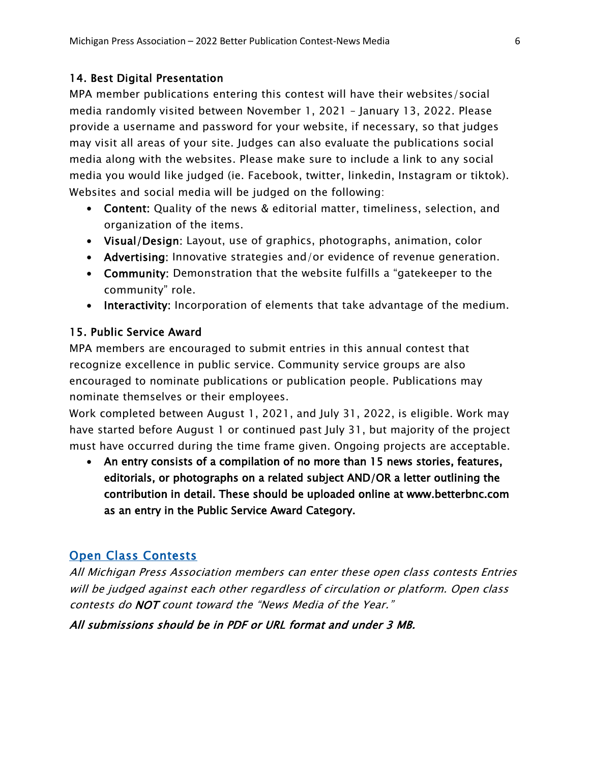## 14. Best Digital Presentation

MPA member publications entering this contest will have their websites/social media randomly visited between November 1, 2021 – January 13, 2022. Please provide a username and password for your website, if necessary, so that judges may visit all areas of your site. Judges can also evaluate the publications social media along with the websites. Please make sure to include a link to any social media you would like judged (ie. Facebook, twitter, linkedin, Instagram or tiktok). Websites and social media will be judged on the following:

- Content: Quality of the news & editorial matter, timeliness, selection, and organization of the items.
- Visual/Design: Layout, use of graphics, photographs, animation, color
- Advertising: Innovative strategies and/or evidence of revenue generation.
- Community: Demonstration that the website fulfills a "gatekeeper to the community" role.
- Interactivity: Incorporation of elements that take advantage of the medium.

## 15. Public Service Award

MPA members are encouraged to submit entries in this annual contest that recognize excellence in public service. Community service groups are also encouraged to nominate publications or publication people. Publications may nominate themselves or their employees.

Work completed between August 1, 2021, and July 31, 2022, is eligible. Work may have started before August 1 or continued past July 31, but majority of the project must have occurred during the time frame given. Ongoing projects are acceptable.

• An entry consists of a compilation of no more than 15 news stories, features, editorials, or photographs on a related subject AND/OR a letter outlining the contribution in detail. These should be uploaded online at www.betterbnc.com as an entry in the Public Service Award Category.

# **Open Class Contests**

All Michigan Press Association members can enter these open class contests Entries will be judged against each other regardless of circulation or platform. Open class contests do NOT count toward the "News Media of the Year."

All submissions should be in PDF or URL format and under 3 MB.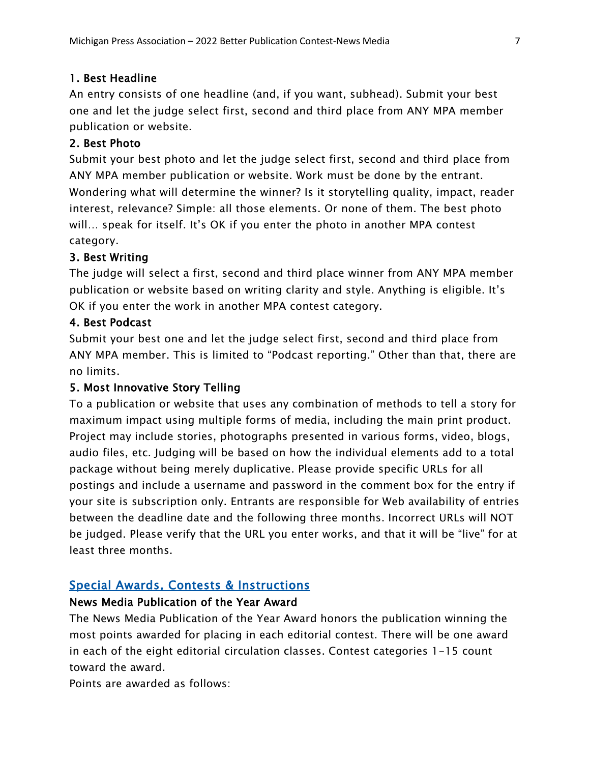## 1. Best Headline

An entry consists of one headline (and, if you want, subhead). Submit your best one and let the judge select first, second and third place from ANY MPA member publication or website.

## 2. Best Photo

Submit your best photo and let the judge select first, second and third place from ANY MPA member publication or website. Work must be done by the entrant. Wondering what will determine the winner? Is it storytelling quality, impact, reader interest, relevance? Simple: all those elements. Or none of them. The best photo will… speak for itself. It's OK if you enter the photo in another MPA contest category.

## 3. Best Writing

The judge will select a first, second and third place winner from ANY MPA member publication or website based on writing clarity and style. Anything is eligible. It's OK if you enter the work in another MPA contest category.

## 4. Best Podcast

Submit your best one and let the judge select first, second and third place from ANY MPA member. This is limited to "Podcast reporting." Other than that, there are no limits.

## 5. Most Innovative Story Telling

To a publication or website that uses any combination of methods to tell a story for maximum impact using multiple forms of media, including the main print product. Project may include stories, photographs presented in various forms, video, blogs, audio files, etc. Judging will be based on how the individual elements add to a total package without being merely duplicative. Please provide specific URLs for all postings and include a username and password in the comment box for the entry if your site is subscription only. Entrants are responsible for Web availability of entries between the deadline date and the following three months. Incorrect URLs will NOT be judged. Please verify that the URL you enter works, and that it will be "live" for at least three months.

# Special Awards, Contests & Instructions

## News Media Publication of the Year Award

The News Media Publication of the Year Award honors the publication winning the most points awarded for placing in each editorial contest. There will be one award in each of the eight editorial circulation classes. Contest categories 1-15 count toward the award.

Points are awarded as follows: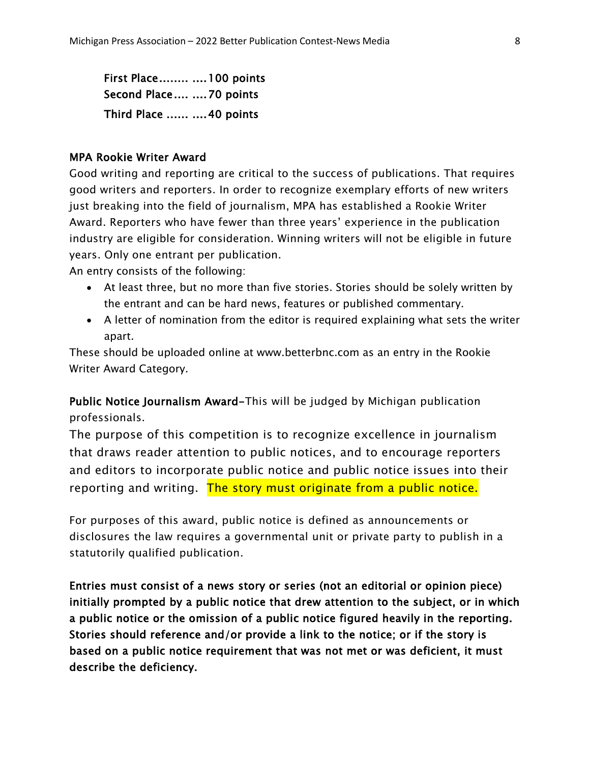First Place ........ .... 100 points Second Place .... .... 70 points Third Place ...... .... 40 points

#### MPA Rookie Writer Award

Good writing and reporting are critical to the success of publications. That requires good writers and reporters. In order to recognize exemplary efforts of new writers just breaking into the field of journalism, MPA has established a Rookie Writer Award. Reporters who have fewer than three years' experience in the publication industry are eligible for consideration. Winning writers will not be eligible in future years. Only one entrant per publication.

An entry consists of the following:

- At least three, but no more than five stories. Stories should be solely written by the entrant and can be hard news, features or published commentary.
- A letter of nomination from the editor is required explaining what sets the writer apart.

These should be uploaded online at www.betterbnc.com as an entry in the Rookie Writer Award Category.

Public Notice Journalism Award-This will be judged by Michigan publication professionals.

The purpose of this competition is to recognize excellence in journalism that draws reader attention to public notices, and to encourage reporters and editors to incorporate public notice and public notice issues into their reporting and writing. The story must originate from a public notice.

For purposes of this award, public notice is defined as announcements or disclosures the law requires a governmental unit or private party to publish in a statutorily qualified publication.

Entries must consist of a news story or series (not an editorial or opinion piece) initially prompted by a public notice that drew attention to the subject, or in which a public notice or the omission of a public notice figured heavily in the reporting. Stories should reference and/or provide a link to the notice; or if the story is based on a public notice requirement that was not met or was deficient, it must describe the deficiency.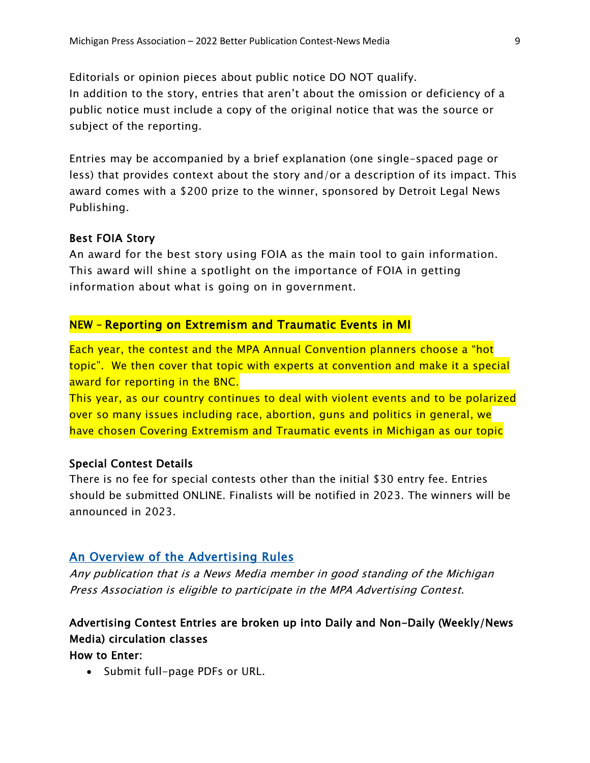Editorials or opinion pieces about public notice DO NOT qualify. In addition to the story, entries that aren't about the omission or deficiency of a public notice must include a copy of the original notice that was the source or subject of the reporting.

Entries may be accompanied by a brief explanation (one single-spaced page or less) that provides context about the story and/or a description of its impact. This award comes with a \$200 prize to the winner, sponsored by Detroit Legal News Publishing.

#### Best FOIA Story

An award for the best story using FOIA as the main tool to gain information. This award will shine a spotlight on the importance of FOIA in getting information about what is going on in government.

## NEW – Reporting on Extremism and Traumatic Events in MI

Each year, the contest and the MPA Annual Convention planners choose a "hot topic". We then cover that topic with experts at convention and make it a special award for reporting in the BNC.

This year, as our country continues to deal with violent events and to be polarized over so many issues including race, abortion, guns and politics in general, we have chosen Covering Extremism and Traumatic events in Michigan as our topic

#### Special Contest Details

There is no fee for special contests other than the initial \$30 entry fee. Entries should be submitted ONLINE. Finalists will be notified in 2023. The winners will be announced in 2023.

## An Overview of the Advertising Rules

Any publication that is a News Media member in good standing of the Michigan Press Association is eligible to participate in the MPA Advertising Contest.

# Advertising Contest Entries are broken up into Daily and Non-Daily (Weekly/News Media) circulation classes

How to Enter:

• Submit full-page PDFs or URL.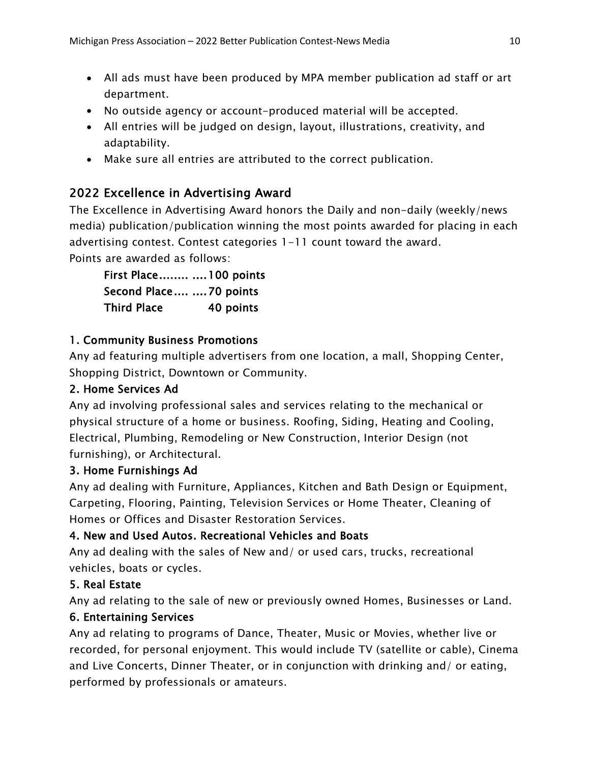- All ads must have been produced by MPA member publication ad staff or art department.
- No outside agency or account-produced material will be accepted.
- All entries will be judged on design, layout, illustrations, creativity, and adaptability.
- Make sure all entries are attributed to the correct publication.

# 2022 Excellence in Advertising Award

The Excellence in Advertising Award honors the Daily and non-daily (weekly/news media) publication/publication winning the most points awarded for placing in each advertising contest. Contest categories 1-11 count toward the award. Points are awarded as follows:

First Place ........ .... 100 points Second Place .... .... 70 points Third Place 40 points

# 1. Community Business Promotions

Any ad featuring multiple advertisers from one location, a mall, Shopping Center, Shopping District, Downtown or Community.

# 2. Home Services Ad

Any ad involving professional sales and services relating to the mechanical or physical structure of a home or business. Roofing, Siding, Heating and Cooling, Electrical, Plumbing, Remodeling or New Construction, Interior Design (not furnishing), or Architectural.

# 3. Home Furnishings Ad

Any ad dealing with Furniture, Appliances, Kitchen and Bath Design or Equipment, Carpeting, Flooring, Painting, Television Services or Home Theater, Cleaning of Homes or Offices and Disaster Restoration Services.

# 4. New and Used Autos. Recreational Vehicles and Boats

Any ad dealing with the sales of New and/ or used cars, trucks, recreational vehicles, boats or cycles.

# 5. Real Estate

Any ad relating to the sale of new or previously owned Homes, Businesses or Land.

# 6. Entertaining Services

Any ad relating to programs of Dance, Theater, Music or Movies, whether live or recorded, for personal enjoyment. This would include TV (satellite or cable), Cinema and Live Concerts, Dinner Theater, or in conjunction with drinking and/ or eating, performed by professionals or amateurs.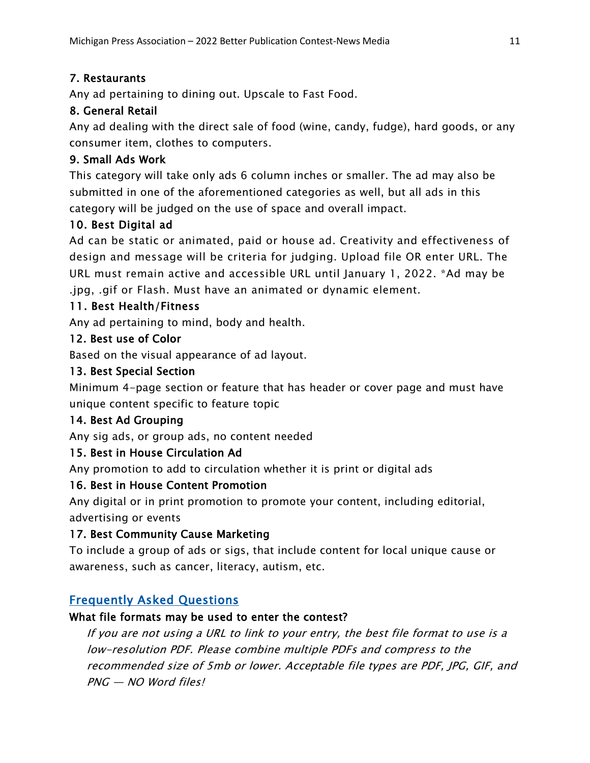# 7. Restaurants

Any ad pertaining to dining out. Upscale to Fast Food.

# 8. General Retail

Any ad dealing with the direct sale of food (wine, candy, fudge), hard goods, or any consumer item, clothes to computers.

# 9. Small Ads Work

This category will take only ads 6 column inches or smaller. The ad may also be submitted in one of the aforementioned categories as well, but all ads in this category will be judged on the use of space and overall impact.

# 10. Best Digital ad

Ad can be static or animated, paid or house ad. Creativity and effectiveness of design and message will be criteria for judging. Upload file OR enter URL. The URL must remain active and accessible URL until January 1, 2022. \*Ad may be .jpg, .gif or Flash. Must have an animated or dynamic element.

# 11. Best Health/Fitness

Any ad pertaining to mind, body and health.

# 12. Best use of Color

Based on the visual appearance of ad layout.

# 13. Best Special Section

Minimum 4-page section or feature that has header or cover page and must have unique content specific to feature topic

# 14. Best Ad Grouping

Any sig ads, or group ads, no content needed

# 15. Best in House Circulation Ad

Any promotion to add to circulation whether it is print or digital ads

# 16. Best in House Content Promotion

Any digital or in print promotion to promote your content, including editorial, advertising or events

# 17. Best Community Cause Marketing

To include a group of ads or sigs, that include content for local unique cause or awareness, such as cancer, literacy, autism, etc.

# Frequently Asked Questions

# What file formats may be used to enter the contest?

If you are not using a URL to link to your entry, the best file format to use is a low-resolution PDF. Please combine multiple PDFs and compress to the recommended size of 5mb or lower. Acceptable file types are PDF, JPG, GIF, and PNG — NO Word files!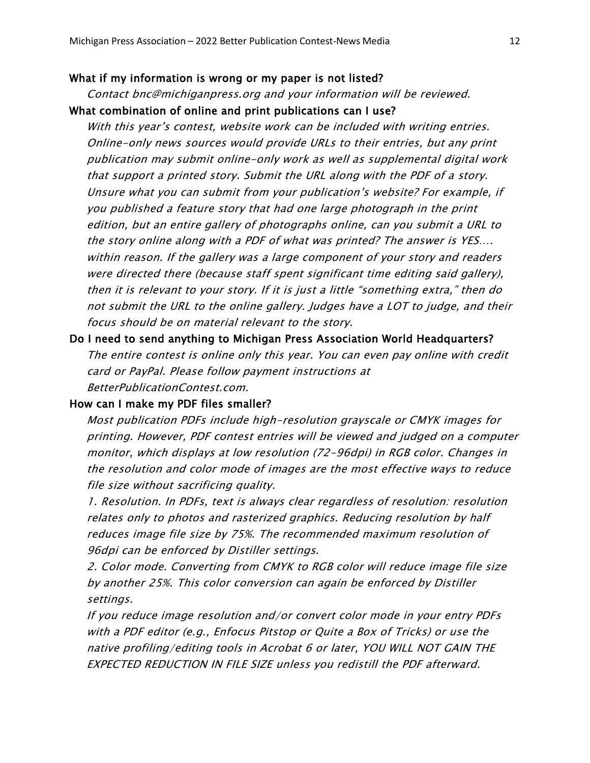#### What if my information is wrong or my paper is not listed?

Contact bnc@michiganpress.org and your information will be reviewed.

#### What combination of online and print publications can I use?

With this year's contest, website work can be included with writing entries. Online-only news sources would provide URLs to their entries, but any print publication may submit online-only work as well as supplemental digital work that support a printed story. Submit the URL along with the PDF of a story. Unsure what you can submit from your publication's website? For example, if you published a feature story that had one large photograph in the print edition, but an entire gallery of photographs online, can you submit a URL to the story online along with a PDF of what was printed? The answer is YES…. within reason. If the gallery was a large component of your story and readers were directed there (because staff spent significant time editing said gallery), then it is relevant to your story. If it is just a little "something extra," then do not submit the URL to the online gallery. Judges have a LOT to judge, and their focus should be on material relevant to the story.

Do I need to send anything to Michigan Press Association World Headquarters? The entire contest is online only this year. You can even pay online with credit card or PayPal. Please follow payment instructions at BetterPublicationContest.com.

#### How can I make my PDF files smaller?

Most publication PDFs include high-resolution grayscale or CMYK images for printing. However, PDF contest entries will be viewed and judged on a computer monitor, which displays at low resolution (72-96dpi) in RGB color. Changes in the resolution and color mode of images are the most effective ways to reduce file size without sacrificing quality.

1. Resolution. In PDFs, text is always clear regardless of resolution: resolution relates only to photos and rasterized graphics. Reducing resolution by half reduces image file size by 75%. The recommended maximum resolution of 96dpi can be enforced by Distiller settings.

2. Color mode. Converting from CMYK to RGB color will reduce image file size by another 25%. This color conversion can again be enforced by Distiller settings.

If you reduce image resolution and/or convert color mode in your entry PDFs with a PDF editor (e.g., Enfocus Pitstop or Quite a Box of Tricks) or use the native profiling/editing tools in Acrobat 6 or later, YOU WILL NOT GAIN THE EXPECTED REDUCTION IN FILE SIZE unless you redistill the PDF afterward.